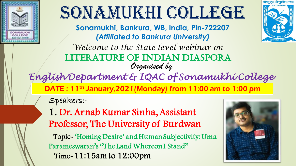

# SONAMUKHI COLLEGE

**Sonamukhi, Bankura, WB, India, Pin-722207** *(Affiliated to Bankura University)*

*Welcome to the State level webinar on* LITERATURE OF INDIAN DIASPORA *Organised by*

*English Department & IQAC of Sonamukhi College*

DATE: 11<sup>th</sup> January, 2021 (Monday) from 11:00 am to 1:00 pm

Speakers:-

1. Dr. Arnab Kumar Sinha, Assistant Professor, The University of Burdwan

Topic- 'Homing Desire' and Human Subjectivity: Uma Parameswaran's "The Land Whereon I Stand" Time-11:15am to 12:00pm

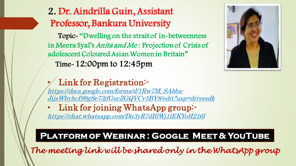## 2. Dr. Aindrilla Guin, Assistant Professor, Bankura University

Topic- "Dwelling on the strait of in-betweenness in Meera Syal's Anita and Me : Projection of Crisis of adolescent Coloured Asian Women in Britain" Time-12:00pm to 12:45pm



### Link for Registration:-

https://docs.google.com/forms/d/1Rw7M\_SAbba-[JijsWbyhcI99gSe73jfGucZGQVCv5BY8/edit?usp=drivesdk](https://docs.google.com/forms/d/1Rw7M_SAbba-JijsWbyhcI99gSe73jfGucZGQVCv5BY8/edit?usp=drivesdk)

• Link for joining WhatsApp group: <https://chat.whatsapp.com/Dn3yR7dBlWj1lEKYoH216l>

#### **Platform of Webinar : Google Meet & YouTube**

*The meeting link will be shared only in the WhatsApp group*